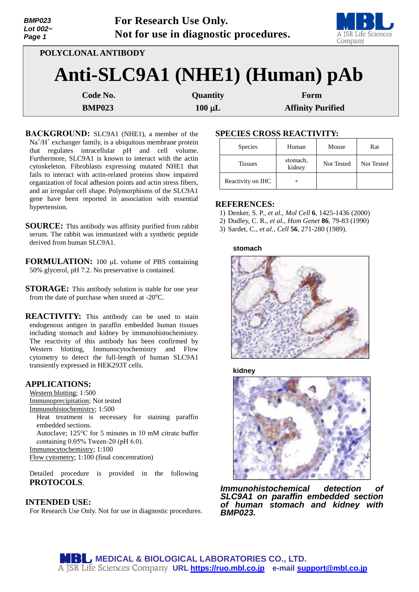| <b>BMP023</b><br>Lot $002-$<br>Page 1 | For Research Use Only.                                | Not for use in diagnostic procedures. |                                  | A JSR Life Science<br>Company |
|---------------------------------------|-------------------------------------------------------|---------------------------------------|----------------------------------|-------------------------------|
|                                       | POLYCLONAL ANTIBODY<br>Anti-SLC9A1 (NHE1) (Human) pAb |                                       |                                  |                               |
|                                       | Code No.<br><b>BMP023</b>                             | Quantity<br>$100 \mu L$               | Form<br><b>Affinity Purified</b> |                               |

**BACKGROUND:** SLC9A1 (NHE1), a member of the Na<sup>+</sup>/H<sup>+</sup> exchanger family, is a ubiquitous membrane protein that regulates intracellular pH and cell volume. Furthermore, SLC9A1 is known to interact with the actin cytoskeleton. Fibroblasts expressing mutated NHE1 that fails to interact with actin-related proteins show impaired organization of focal adhesion points and actin stress fibers, and an irregular cell shape. Polymorphisms of the SLC9A1 gene have been reported in association with essential hypertension.

**SOURCE:** This antibody was affinity purified from rabbit serum. The rabbit was immunized with a synthetic peptide derived from human SLC9A1.

**FORMULATION:** 100 µL volume of PBS containing 50% glycerol, pH 7.2. No preservative is contained.

**STORAGE:** This antibody solution is stable for one year from the date of purchase when stored at  $-20^{\circ}$ C.

**REACTIVITY:** This antibody can be used to stain endogenous antigen in paraffin embedded human tissues including stomach and kidney by immunohistochemistry. The reactivity of this antibody has been confirmed by Western blotting, Immunocytochemistry and Flow cytometry to detect the full-length of human SLC9A1 transiently expressed in HEK293T cells.

## **APPLICATIONS:**

Western blotting; 1:500 Immunoprecipitation; Not tested Immunohistochemistry; 1:500 Heat treatment is necessary for staining paraffin embedded sections. Autoclave; 125°C for 5 minutes in 10 mM citrate buffer containing 0.05% Tween-20 (pH 6.0). Immunocytochemistry; 1:100 Flow cytometry; 1:100 (final concentration)

Detailed procedure is provided in the following **PROTOCOLS**.

## **INTENDED USE:**

For Research Use Only. Not for use in diagnostic procedures.

# **SPECIES CROSS REACTIVITY:**

| <b>Species</b>    | Human              | Mouse      | Rat               |
|-------------------|--------------------|------------|-------------------|
| <b>Tissues</b>    | stomach,<br>kidney | Not Tested | <b>Not Tested</b> |
| Reactivity on IHC |                    |            |                   |

**START OF** 

## **REFERENCES:**

- 1) Denker, S. P., *et al., Mol Cell* **6**, 1425-1436 (2000)
- 2) Dudley, C. R., *et al., Hum Genet* **86**, 79-83 (1990)
- 3) Sardet, C., *et al., Cell* **56**, 271-280 (1989).

**stomach**



**kidney**



*Immunohistochemical detection of SLC9A1 on paraffin embedded section of human stomach and kidney with BMP023.*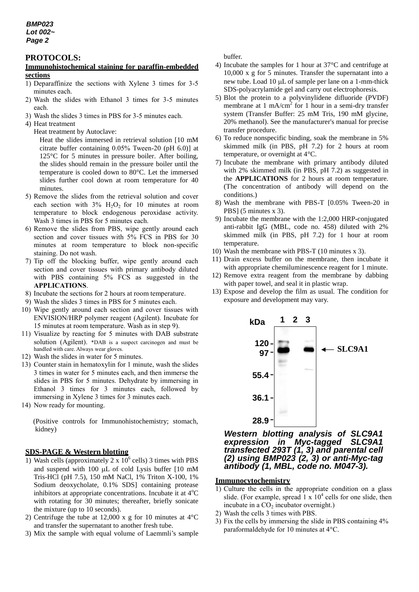#### **PROTOCOLS:**

#### **Immunohistochemical staining for paraffin-embedded sections**

- 1) Deparaffinize the sections with Xylene 3 times for 3-5 minutes each.
- 2) Wash the slides with Ethanol 3 times for 3-5 minutes each.
- 3) Wash the slides 3 times in PBS for 3-5 minutes each.
- 4) Heat treatment
	- Heat treatment by Autoclave:

Heat the slides immersed in retrieval solution [10 mM citrate buffer containing 0.05% Tween-20 (pH 6.0)] at 125°C for 5 minutes in pressure boiler. After boiling, the slides should remain in the pressure boiler until the temperature is cooled down to 80°C. Let the immersed slides further cool down at room temperature for 40 minutes.

- 5) Remove the slides from the retrieval solution and cover each section with  $3\%$  H<sub>2</sub>O<sub>2</sub> for 10 minutes at room temperature to block endogenous peroxidase activity. Wash 3 times in PBS for 5 minutes each.
- 6) Remove the slides from PBS, wipe gently around each section and cover tissues with 5% FCS in PBS for 30 minutes at room temperature to block non-specific staining. Do not wash.
- 7) Tip off the blocking buffer, wipe gently around each section and cover tissues with primary antibody diluted with PBS containing 5% FCS as suggested in the **APPLICATIONS**.
- 8) Incubate the sections for 2 hours at room temperature.
- 9) Wash the slides 3 times in PBS for 5 minutes each.
- 10) Wipe gently around each section and cover tissues with ENVISION/HRP polymer reagent (Agilent). Incubate for 15 minutes at room temperature. Wash as in step 9).
- 11) Visualize by reacting for 5 minutes with DAB substrate solution (Agilent). \*DAB is a suspect carcinogen and must be handled with care. Always wear gloves.
- 12) Wash the slides in water for 5 minutes.
- 13) Counter stain in hematoxylin for 1 minute, wash the slides 3 times in water for 5 minutes each, and then immerse the slides in PBS for 5 minutes. Dehydrate by immersing in Ethanol 3 times for 3 minutes each, followed by immersing in Xylene 3 times for 3 minutes each.
- 14) Now ready for mounting.

(Positive controls for Immunohistochemistry; stomach, kidney)

## **SDS-PAGE & Western blotting**

- 1) Wash cells (approximately  $2 \times 10^6$  cells) 3 times with PBS and suspend with 100  $\mu$ L of cold Lysis buffer [10 mM Tris-HCl (pH 7.5), 150 mM NaCl, 1% Triton X-100, 1% Sodium deoxycholate, 0.1% SDS] containing protease inhibitors at appropriate concentrations. Incubate it at  $4^{\circ}C$ with rotating for 30 minutes; thereafter, briefly sonicate the mixture (up to 10 seconds).
- 2) Centrifuge the tube at 12,000 x g for 10 minutes at 4°C and transfer the supernatant to another fresh tube.
- 3) Mix the sample with equal volume of Laemmli's sample

buffer.

- 4) Incubate the samples for 1 hour at 37°C and centrifuge at 10,000 x g for 5 minutes. Transfer the supernatant into a new tube. Load 10  $\mu$ L of sample per lane on a 1-mm-thick SDS-polyacrylamide gel and carry out electrophoresis.
- 5) Blot the protein to a polyvinylidene difluoride (PVDF) membrane at 1 mA/cm<sup>2</sup> for 1 hour in a semi-dry transfer system (Transfer Buffer: 25 mM Tris, 190 mM glycine, 20% methanol). See the manufacturer's manual for precise transfer procedure.
- 6) To reduce nonspecific binding, soak the membrane in 5% skimmed milk (in PBS, pH 7.2) for 2 hours at room temperature, or overnight at 4°C.
- 7) Incubate the membrane with primary antibody diluted with 2% skimmed milk (in PBS, pH 7.2) as suggested in the **APPLICATIONS** for 2 hours at room temperature. (The concentration of antibody will depend on the conditions.)
- 8) Wash the membrane with PBS-T [0.05% Tween-20 in PBS] (5 minutes x 3).
- 9) Incubate the membrane with the 1:2,000 HRP-conjugated anti-rabbit IgG (MBL, code no. 458) diluted with 2% skimmed milk (in PBS, pH 7.2) for 1 hour at room temperature.
- 10) Wash the membrane with PBS-T (10 minutes x 3).
- 11) Drain excess buffer on the membrane, then incubate it with appropriate chemiluminescence reagent for 1 minute.
- 12) Remove extra reagent from the membrane by dabbing with paper towel, and seal it in plastic wrap.
- 13) Expose and develop the film as usual. The condition for exposure and development may vary.



*Western blotting analysis of SLC9A1 expression in Myc-tagged SLC9A1 transfected 293T (1, 3) and parental cell (2) using BMP023 (2, 3) or anti-Myc-tag antibody (1, MBL, code no. M047-3).*

#### **Immunocytochemistry**

- 1) Culture the cells in the appropriate condition on a glass slide. (For example, spread  $1 \times 10^4$  cells for one slide, then incubate in a  $CO<sub>2</sub>$  incubator overnight.)
- 2) Wash the cells 3 times with PBS.
- 3) Fix the cells by immersing the slide in PBS containing 4% paraformaldehyde for 10 minutes at 4°C.